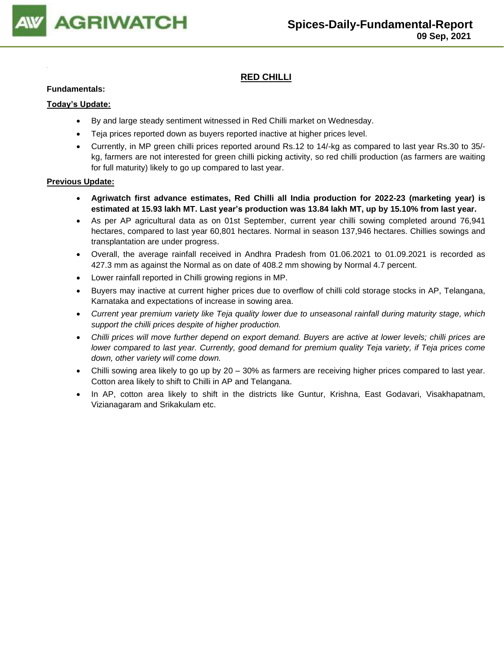

## **RED CHILLI**

#### **Fundamentals:**

#### **Today's Update:**

- By and large steady sentiment witnessed in Red Chilli market on Wednesday.
- Teja prices reported down as buyers reported inactive at higher prices level.
- Currently, in MP green chilli prices reported around Rs.12 to 14/-kg as compared to last year Rs.30 to 35/ kg, farmers are not interested for green chilli picking activity, so red chilli production (as farmers are waiting for full maturity) likely to go up compared to last year.

- **Agriwatch first advance estimates, Red Chilli all India production for 2022-23 (marketing year) is estimated at 15.93 lakh MT. Last year's production was 13.84 lakh MT, up by 15.10% from last year.**
- As per AP agricultural data as on 01st September, current year chilli sowing completed around 76,941 hectares, compared to last year 60,801 hectares. Normal in season 137,946 hectares. Chillies sowings and transplantation are under progress.
- Overall, the average rainfall received in Andhra Pradesh from 01.06.2021 to 01.09.2021 is recorded as 427.3 mm as against the Normal as on date of 408.2 mm showing by Normal 4.7 percent.
- Lower rainfall reported in Chilli growing regions in MP.
- Buyers may inactive at current higher prices due to overflow of chilli cold storage stocks in AP, Telangana, Karnataka and expectations of increase in sowing area.
- *Current year premium variety like Teja quality lower due to unseasonal rainfall during maturity stage, which support the chilli prices despite of higher production.*
- *Chilli prices will move further depend on export demand. Buyers are active at lower levels; chilli prices are lower compared to last year. Currently, good demand for premium quality Teja variety, if Teja prices come down, other variety will come down.*
- Chilli sowing area likely to go up by 20 30% as farmers are receiving higher prices compared to last year. Cotton area likely to shift to Chilli in AP and Telangana.
- In AP, cotton area likely to shift in the districts like Guntur, Krishna, East Godavari, Visakhapatnam, Vizianagaram and Srikakulam etc.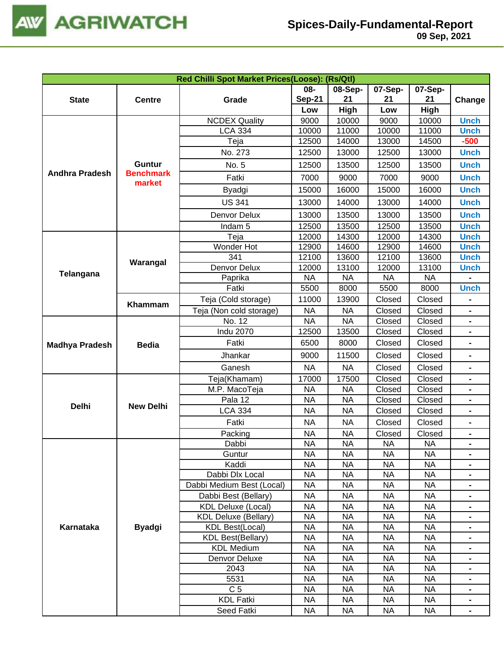

|                                                            |                            | Red Chilli Spot Market Prices(Loose): (Rs/Qtl) |                      |               |                                                                                                                                                                                                                                                                                                                                                                                                                                                                                                                                                                                                                                                                                                                                                                                                                                                                                                                                                                                                                                                                                                                                                                               |               |                |
|------------------------------------------------------------|----------------------------|------------------------------------------------|----------------------|---------------|-------------------------------------------------------------------------------------------------------------------------------------------------------------------------------------------------------------------------------------------------------------------------------------------------------------------------------------------------------------------------------------------------------------------------------------------------------------------------------------------------------------------------------------------------------------------------------------------------------------------------------------------------------------------------------------------------------------------------------------------------------------------------------------------------------------------------------------------------------------------------------------------------------------------------------------------------------------------------------------------------------------------------------------------------------------------------------------------------------------------------------------------------------------------------------|---------------|----------------|
| <b>State</b>                                               | <b>Centre</b>              | Grade                                          | 08-<br><b>Sep-21</b> | 08-Sep-<br>21 | 07-Sep-<br>21                                                                                                                                                                                                                                                                                                                                                                                                                                                                                                                                                                                                                                                                                                                                                                                                                                                                                                                                                                                                                                                                                                                                                                 | 07-Sep-<br>21 |                |
|                                                            |                            |                                                | Low                  | High          | Change<br>High<br>Low<br>9000<br>10000<br><b>Unch</b><br>10000<br><b>Unch</b><br>11000<br>13000<br>$-500$<br>14500<br>12500<br><b>Unch</b><br>13000<br>12500<br>13500<br><b>Unch</b><br>7000<br><b>Unch</b><br>9000<br>15000<br>16000<br><b>Unch</b><br><b>Unch</b><br>13000<br>14000<br>13000<br><b>Unch</b><br>13500<br>12500<br>13500<br><b>Unch</b><br>12000<br>14300<br><b>Unch</b><br>12900<br>14600<br><b>Unch</b><br>12100<br>13600<br><b>Unch</b><br><b>Unch</b><br>12000<br>13100<br><b>NA</b><br><b>NA</b><br>5500<br><b>Unch</b><br>8000<br>Closed<br>Closed<br>Closed<br>Closed<br>Closed<br>Closed<br>Closed<br>Closed<br>-<br>Closed<br>Closed<br>Closed<br>Closed<br>Closed<br>Closed<br>Closed<br>Closed<br>Closed<br>Closed<br>Closed<br>Closed<br>Closed<br>Closed<br>Closed<br>Closed<br>Closed<br>Closed<br><b>NA</b><br><b>NA</b><br><b>NA</b><br><b>NA</b><br><b>NA</b><br><b>NA</b><br><b>NA</b><br><b>NA</b><br>$\qquad \qquad \blacksquare$<br><b>NA</b><br><b>NA</b><br>$\blacksquare$<br><b>NA</b><br><b>NA</b><br><b>NA</b><br><b>NA</b><br><b>NA</b><br><b>NA</b><br><b>NA</b><br><b>NA</b><br><b>NA</b><br><b>NA</b><br><b>NA</b><br><b>NA</b> |               |                |
|                                                            |                            | <b>NCDEX Quality</b>                           | 9000                 | 10000         |                                                                                                                                                                                                                                                                                                                                                                                                                                                                                                                                                                                                                                                                                                                                                                                                                                                                                                                                                                                                                                                                                                                                                                               |               |                |
|                                                            |                            | <b>LCA 334</b>                                 | 10000                | 11000         |                                                                                                                                                                                                                                                                                                                                                                                                                                                                                                                                                                                                                                                                                                                                                                                                                                                                                                                                                                                                                                                                                                                                                                               |               |                |
|                                                            |                            | Teja                                           | 12500                | 14000         |                                                                                                                                                                                                                                                                                                                                                                                                                                                                                                                                                                                                                                                                                                                                                                                                                                                                                                                                                                                                                                                                                                                                                                               |               |                |
|                                                            |                            | No. 273                                        | 12500                | 13000         |                                                                                                                                                                                                                                                                                                                                                                                                                                                                                                                                                                                                                                                                                                                                                                                                                                                                                                                                                                                                                                                                                                                                                                               |               |                |
|                                                            | Guntur                     | No. 5                                          | 12500                | 13500         |                                                                                                                                                                                                                                                                                                                                                                                                                                                                                                                                                                                                                                                                                                                                                                                                                                                                                                                                                                                                                                                                                                                                                                               |               |                |
| <b>Andhra Pradesh</b>                                      | <b>Benchmark</b><br>market | Fatki                                          | 7000                 | 9000          |                                                                                                                                                                                                                                                                                                                                                                                                                                                                                                                                                                                                                                                                                                                                                                                                                                                                                                                                                                                                                                                                                                                                                                               |               |                |
|                                                            |                            | Byadgi                                         | 15000                | 16000         |                                                                                                                                                                                                                                                                                                                                                                                                                                                                                                                                                                                                                                                                                                                                                                                                                                                                                                                                                                                                                                                                                                                                                                               |               |                |
|                                                            |                            | <b>US 341</b>                                  | 13000                | 14000         |                                                                                                                                                                                                                                                                                                                                                                                                                                                                                                                                                                                                                                                                                                                                                                                                                                                                                                                                                                                                                                                                                                                                                                               |               |                |
|                                                            |                            | Denvor Delux                                   | 13000                | 13500         |                                                                                                                                                                                                                                                                                                                                                                                                                                                                                                                                                                                                                                                                                                                                                                                                                                                                                                                                                                                                                                                                                                                                                                               |               |                |
|                                                            |                            | Indam <sub>5</sub>                             | 12500                | 13500         |                                                                                                                                                                                                                                                                                                                                                                                                                                                                                                                                                                                                                                                                                                                                                                                                                                                                                                                                                                                                                                                                                                                                                                               |               |                |
|                                                            |                            | Teja                                           | 12000                | 14300         |                                                                                                                                                                                                                                                                                                                                                                                                                                                                                                                                                                                                                                                                                                                                                                                                                                                                                                                                                                                                                                                                                                                                                                               |               |                |
|                                                            |                            | Wonder Hot                                     | 12900                | 14600         |                                                                                                                                                                                                                                                                                                                                                                                                                                                                                                                                                                                                                                                                                                                                                                                                                                                                                                                                                                                                                                                                                                                                                                               |               |                |
|                                                            |                            | 341                                            | 12100                | 13600         |                                                                                                                                                                                                                                                                                                                                                                                                                                                                                                                                                                                                                                                                                                                                                                                                                                                                                                                                                                                                                                                                                                                                                                               |               |                |
|                                                            | Warangal                   | Denvor Delux                                   | 12000                | 13100         |                                                                                                                                                                                                                                                                                                                                                                                                                                                                                                                                                                                                                                                                                                                                                                                                                                                                                                                                                                                                                                                                                                                                                                               |               |                |
| Telangana                                                  |                            | Paprika                                        | <b>NA</b>            | <b>NA</b>     |                                                                                                                                                                                                                                                                                                                                                                                                                                                                                                                                                                                                                                                                                                                                                                                                                                                                                                                                                                                                                                                                                                                                                                               |               |                |
|                                                            |                            | Fatki                                          | 5500                 | 8000          |                                                                                                                                                                                                                                                                                                                                                                                                                                                                                                                                                                                                                                                                                                                                                                                                                                                                                                                                                                                                                                                                                                                                                                               |               |                |
|                                                            | Khammam                    | Teja (Cold storage)                            | 11000                | 13900         |                                                                                                                                                                                                                                                                                                                                                                                                                                                                                                                                                                                                                                                                                                                                                                                                                                                                                                                                                                                                                                                                                                                                                                               |               |                |
|                                                            |                            | Teja (Non cold storage)                        | <b>NA</b>            | <b>NA</b>     |                                                                                                                                                                                                                                                                                                                                                                                                                                                                                                                                                                                                                                                                                                                                                                                                                                                                                                                                                                                                                                                                                                                                                                               |               |                |
|                                                            |                            | No. 12                                         | <b>NA</b>            | <b>NA</b>     |                                                                                                                                                                                                                                                                                                                                                                                                                                                                                                                                                                                                                                                                                                                                                                                                                                                                                                                                                                                                                                                                                                                                                                               |               |                |
|                                                            |                            | <b>Indu 2070</b>                               | 12500                | 13500         |                                                                                                                                                                                                                                                                                                                                                                                                                                                                                                                                                                                                                                                                                                                                                                                                                                                                                                                                                                                                                                                                                                                                                                               |               |                |
|                                                            | <b>Bedia</b>               | Fatki                                          | 6500                 | 8000          |                                                                                                                                                                                                                                                                                                                                                                                                                                                                                                                                                                                                                                                                                                                                                                                                                                                                                                                                                                                                                                                                                                                                                                               |               |                |
| <b>Madhya Pradesh</b><br>Jhankar<br>Ganesh<br>Teja(Khamam) |                            |                                                | 9000                 | 11500         |                                                                                                                                                                                                                                                                                                                                                                                                                                                                                                                                                                                                                                                                                                                                                                                                                                                                                                                                                                                                                                                                                                                                                                               |               |                |
|                                                            | <b>NA</b>                  | <b>NA</b>                                      |                      |               |                                                                                                                                                                                                                                                                                                                                                                                                                                                                                                                                                                                                                                                                                                                                                                                                                                                                                                                                                                                                                                                                                                                                                                               |               |                |
|                                                            |                            |                                                | 17000                | 17500         |                                                                                                                                                                                                                                                                                                                                                                                                                                                                                                                                                                                                                                                                                                                                                                                                                                                                                                                                                                                                                                                                                                                                                                               |               |                |
|                                                            |                            | M.P. MacoTeja                                  | <b>NA</b>            | <b>NA</b>     |                                                                                                                                                                                                                                                                                                                                                                                                                                                                                                                                                                                                                                                                                                                                                                                                                                                                                                                                                                                                                                                                                                                                                                               |               |                |
|                                                            |                            | Pala 12                                        | <b>NA</b>            | <b>NA</b>     |                                                                                                                                                                                                                                                                                                                                                                                                                                                                                                                                                                                                                                                                                                                                                                                                                                                                                                                                                                                                                                                                                                                                                                               |               |                |
|                                                            | <b>New Delhi</b>           | <b>LCA 334</b>                                 | NA                   | <b>NA</b>     |                                                                                                                                                                                                                                                                                                                                                                                                                                                                                                                                                                                                                                                                                                                                                                                                                                                                                                                                                                                                                                                                                                                                                                               |               |                |
| <b>Delhi</b>                                               |                            | Fatki                                          | <b>NA</b>            | <b>NA</b>     |                                                                                                                                                                                                                                                                                                                                                                                                                                                                                                                                                                                                                                                                                                                                                                                                                                                                                                                                                                                                                                                                                                                                                                               |               |                |
|                                                            |                            | Packing                                        | NA                   | <b>NA</b>     |                                                                                                                                                                                                                                                                                                                                                                                                                                                                                                                                                                                                                                                                                                                                                                                                                                                                                                                                                                                                                                                                                                                                                                               |               |                |
|                                                            |                            | Dabbi                                          | <b>NA</b>            | <b>NA</b>     |                                                                                                                                                                                                                                                                                                                                                                                                                                                                                                                                                                                                                                                                                                                                                                                                                                                                                                                                                                                                                                                                                                                                                                               |               |                |
|                                                            |                            | Guntur                                         | NА                   | <b>NA</b>     |                                                                                                                                                                                                                                                                                                                                                                                                                                                                                                                                                                                                                                                                                                                                                                                                                                                                                                                                                                                                                                                                                                                                                                               |               |                |
|                                                            |                            | Kaddi                                          | NА                   | <b>NA</b>     |                                                                                                                                                                                                                                                                                                                                                                                                                                                                                                                                                                                                                                                                                                                                                                                                                                                                                                                                                                                                                                                                                                                                                                               |               |                |
|                                                            |                            | Dabbi Dlx Local                                | NA                   | <b>NA</b>     |                                                                                                                                                                                                                                                                                                                                                                                                                                                                                                                                                                                                                                                                                                                                                                                                                                                                                                                                                                                                                                                                                                                                                                               |               |                |
|                                                            |                            | Dabbi Medium Best (Local)                      | NА                   | <b>NA</b>     |                                                                                                                                                                                                                                                                                                                                                                                                                                                                                                                                                                                                                                                                                                                                                                                                                                                                                                                                                                                                                                                                                                                                                                               |               |                |
|                                                            |                            | Dabbi Best (Bellary)                           | <b>NA</b>            | <b>NA</b>     |                                                                                                                                                                                                                                                                                                                                                                                                                                                                                                                                                                                                                                                                                                                                                                                                                                                                                                                                                                                                                                                                                                                                                                               |               |                |
|                                                            |                            | <b>KDL Deluxe (Local)</b>                      | NА                   | <b>NA</b>     |                                                                                                                                                                                                                                                                                                                                                                                                                                                                                                                                                                                                                                                                                                                                                                                                                                                                                                                                                                                                                                                                                                                                                                               |               |                |
|                                                            |                            | <b>KDL Deluxe (Bellary)</b>                    | NA                   | <b>NA</b>     |                                                                                                                                                                                                                                                                                                                                                                                                                                                                                                                                                                                                                                                                                                                                                                                                                                                                                                                                                                                                                                                                                                                                                                               |               |                |
| <b>Karnataka</b>                                           | <b>Byadgi</b>              | <b>KDL Best(Local)</b>                         | <b>NA</b>            | <b>NA</b>     |                                                                                                                                                                                                                                                                                                                                                                                                                                                                                                                                                                                                                                                                                                                                                                                                                                                                                                                                                                                                                                                                                                                                                                               |               |                |
|                                                            |                            | <b>KDL Best(Bellary)</b>                       | <b>NA</b>            | <b>NA</b>     |                                                                                                                                                                                                                                                                                                                                                                                                                                                                                                                                                                                                                                                                                                                                                                                                                                                                                                                                                                                                                                                                                                                                                                               |               |                |
|                                                            |                            | <b>KDL Medium</b>                              | <b>NA</b>            | <b>NA</b>     |                                                                                                                                                                                                                                                                                                                                                                                                                                                                                                                                                                                                                                                                                                                                                                                                                                                                                                                                                                                                                                                                                                                                                                               |               |                |
|                                                            |                            | Denvor Deluxe                                  | NА                   | <b>NA</b>     | <b>NA</b>                                                                                                                                                                                                                                                                                                                                                                                                                                                                                                                                                                                                                                                                                                                                                                                                                                                                                                                                                                                                                                                                                                                                                                     | <b>NA</b>     |                |
|                                                            |                            | 2043                                           | <b>NA</b>            | <b>NA</b>     | <b>NA</b>                                                                                                                                                                                                                                                                                                                                                                                                                                                                                                                                                                                                                                                                                                                                                                                                                                                                                                                                                                                                                                                                                                                                                                     | <b>NA</b>     |                |
|                                                            |                            | 5531                                           | <b>NA</b>            | <b>NA</b>     | <b>NA</b>                                                                                                                                                                                                                                                                                                                                                                                                                                                                                                                                                                                                                                                                                                                                                                                                                                                                                                                                                                                                                                                                                                                                                                     | <b>NA</b>     | $\blacksquare$ |
|                                                            |                            | C <sub>5</sub>                                 | <b>NA</b>            | <b>NA</b>     | <b>NA</b>                                                                                                                                                                                                                                                                                                                                                                                                                                                                                                                                                                                                                                                                                                                                                                                                                                                                                                                                                                                                                                                                                                                                                                     | <b>NA</b>     |                |
|                                                            |                            | <b>KDL Fatki</b>                               | <b>NA</b>            | <b>NA</b>     | <b>NA</b>                                                                                                                                                                                                                                                                                                                                                                                                                                                                                                                                                                                                                                                                                                                                                                                                                                                                                                                                                                                                                                                                                                                                                                     | <b>NA</b>     |                |
|                                                            |                            | Seed Fatki                                     | <b>NA</b>            | <b>NA</b>     | <b>NA</b>                                                                                                                                                                                                                                                                                                                                                                                                                                                                                                                                                                                                                                                                                                                                                                                                                                                                                                                                                                                                                                                                                                                                                                     | <b>NA</b>     |                |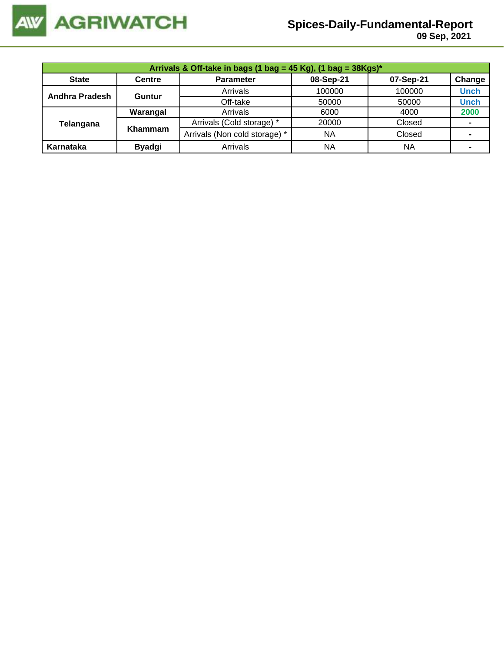

|                | Arrivals & Off-take in bags (1 bag = 45 Kg), (1 bag = $38Kgs$ )* |                               |           |           |             |  |  |  |  |
|----------------|------------------------------------------------------------------|-------------------------------|-----------|-----------|-------------|--|--|--|--|
| <b>State</b>   | <b>Centre</b>                                                    | <b>Parameter</b>              | 08-Sep-21 | 07-Sep-21 | Change      |  |  |  |  |
| Andhra Pradesh | Guntur                                                           | Arrivals                      | 100000    | 100000    | <b>Unch</b> |  |  |  |  |
|                |                                                                  | Off-take                      | 50000     | 50000     | <b>Unch</b> |  |  |  |  |
|                | Warangal                                                         | Arrivals                      | 6000      | 4000      | 2000        |  |  |  |  |
| Telangana      | Khammam                                                          | Arrivals (Cold storage) *     | 20000     | Closed    |             |  |  |  |  |
|                |                                                                  | Arrivals (Non cold storage) * | <b>NA</b> | Closed    |             |  |  |  |  |
| Karnataka      | <b>Byadgi</b>                                                    | Arrivals                      | NA        | <b>NA</b> |             |  |  |  |  |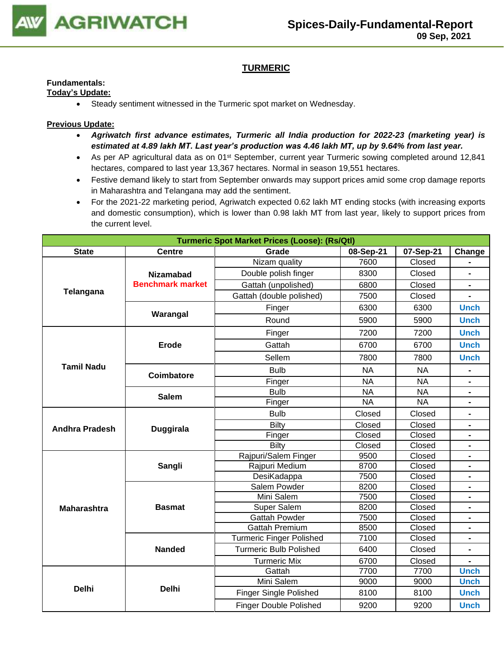

## **TURMERIC**

## **Fundamentals:**

## **Today's Update:**

• Steady sentiment witnessed in the Turmeric spot market on Wednesday.

- *Agriwatch first advance estimates, Turmeric all India production for 2022-23 (marketing year) is estimated at 4.89 lakh MT. Last year's production was 4.46 lakh MT, up by 9.64% from last year.*
- As per AP agricultural data as on 01<sup>st</sup> September, current year Turmeric sowing completed around 12,841 hectares, compared to last year 13,367 hectares. Normal in season 19,551 hectares.
- Festive demand likely to start from September onwards may support prices amid some crop damage reports in Maharashtra and Telangana may add the sentiment.
- For the 2021-22 marketing period, Agriwatch expected 0.62 lakh MT ending stocks (with increasing exports and domestic consumption), which is lower than 0.98 lakh MT from last year, likely to support prices from the current level.

|                       | <b>Turmeric Spot Market Prices (Loose): (Rs/Qtl)</b> |                               |           |           |                |  |  |
|-----------------------|------------------------------------------------------|-------------------------------|-----------|-----------|----------------|--|--|
| <b>State</b>          | <b>Centre</b>                                        | Grade                         | 08-Sep-21 | 07-Sep-21 | Change         |  |  |
|                       |                                                      | Nizam quality                 | 7600      | Closed    |                |  |  |
|                       | <b>Nizamabad</b>                                     | Double polish finger          | 8300      | Closed    | $\blacksquare$ |  |  |
|                       | <b>Benchmark market</b>                              | Gattah (unpolished)           | 6800      | Closed    |                |  |  |
| Telangana             |                                                      | Gattah (double polished)      | 7500      | Closed    |                |  |  |
|                       |                                                      | Finger                        | 6300      | 6300      | <b>Unch</b>    |  |  |
|                       | Warangal                                             | Round                         | 5900      | 5900      | <b>Unch</b>    |  |  |
|                       |                                                      | Finger                        | 7200      | 7200      | <b>Unch</b>    |  |  |
|                       | <b>Erode</b>                                         | Gattah                        | 6700      | 6700      | <b>Unch</b>    |  |  |
|                       |                                                      | Sellem                        | 7800      | 7800      | <b>Unch</b>    |  |  |
| <b>Tamil Nadu</b>     | Coimbatore                                           | <b>Bulb</b>                   | <b>NA</b> | <b>NA</b> |                |  |  |
|                       |                                                      | Finger                        | <b>NA</b> | <b>NA</b> |                |  |  |
|                       | <b>Salem</b>                                         | <b>Bulb</b>                   | <b>NA</b> | <b>NA</b> | $\blacksquare$ |  |  |
|                       |                                                      | Finger                        | <b>NA</b> | <b>NA</b> | $\blacksquare$ |  |  |
|                       |                                                      | <b>Bulb</b>                   | Closed    | Closed    | Ξ.             |  |  |
| <b>Andhra Pradesh</b> | <b>Duggirala</b>                                     | <b>Bilty</b>                  | Closed    | Closed    | $\blacksquare$ |  |  |
|                       |                                                      | Finger                        | Closed    | Closed    | Ξ.             |  |  |
|                       |                                                      | <b>Bilty</b>                  | Closed    | Closed    |                |  |  |
|                       |                                                      | Rajpuri/Salem Finger          | 9500      | Closed    |                |  |  |
|                       | Sangli                                               | Rajpuri Medium                | 8700      | Closed    |                |  |  |
|                       |                                                      | DesiKadappa                   | 7500      | Closed    |                |  |  |
|                       |                                                      | Salem Powder                  | 8200      | Closed    |                |  |  |
|                       |                                                      | Mini Salem                    | 7500      | Closed    | $\blacksquare$ |  |  |
| <b>Maharashtra</b>    | <b>Basmat</b>                                        | Super Salem                   | 8200      | Closed    |                |  |  |
|                       |                                                      | <b>Gattah Powder</b>          | 7500      | Closed    | $\blacksquare$ |  |  |
|                       |                                                      | <b>Gattah Premium</b>         | 8500      | Closed    | $\blacksquare$ |  |  |
|                       |                                                      | Turmeric Finger Polished      | 7100      | Closed    |                |  |  |
|                       | <b>Nanded</b>                                        | <b>Turmeric Bulb Polished</b> | 6400      | Closed    |                |  |  |
|                       |                                                      | <b>Turmeric Mix</b>           | 6700      | Closed    |                |  |  |
|                       |                                                      | Gattah                        | 7700      | 7700      | <b>Unch</b>    |  |  |
|                       |                                                      | Mini Salem                    | 9000      | 9000      | <b>Unch</b>    |  |  |
| <b>Delhi</b>          | <b>Delhi</b>                                         | <b>Finger Single Polished</b> | 8100      | 8100      | <b>Unch</b>    |  |  |
|                       |                                                      | <b>Finger Double Polished</b> | 9200      | 9200      | <b>Unch</b>    |  |  |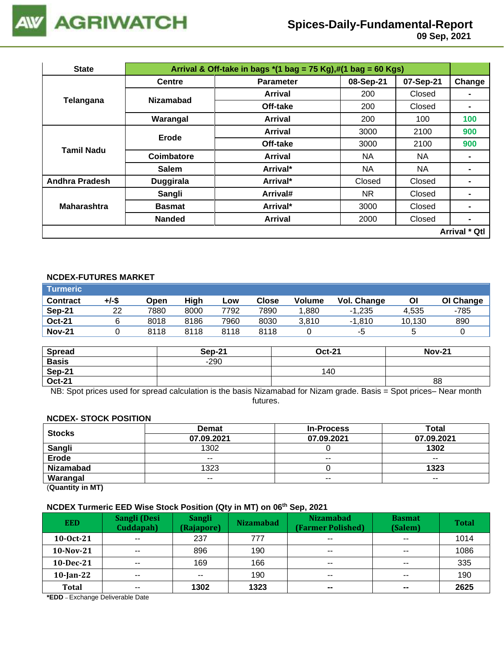

 **09 Sep, 2021**

| <b>State</b>          |                                                                                                                                                                                                                                                                                                                                                                            |                  |           |           |                      |
|-----------------------|----------------------------------------------------------------------------------------------------------------------------------------------------------------------------------------------------------------------------------------------------------------------------------------------------------------------------------------------------------------------------|------------------|-----------|-----------|----------------------|
|                       | <b>Centre</b>                                                                                                                                                                                                                                                                                                                                                              | <b>Parameter</b> | 08-Sep-21 | 07-Sep-21 | Change               |
| <b>Telangana</b>      |                                                                                                                                                                                                                                                                                                                                                                            | Arrival          | 200       | Closed    |                      |
|                       |                                                                                                                                                                                                                                                                                                                                                                            | Off-take         | 200       | Closed    | $\blacksquare$       |
|                       | Arrival & Off-take in bags $*(1 \text{ bag} = 75 \text{ Kg}),\#(1 \text{ bag} = 60 \text{ Kg})$<br><b>Nizamabad</b><br>Warangal<br>Arrival<br>Arrival<br>Erode<br>Off-take<br>Tamil Nadu<br>Coimbatore<br><b>Arrival</b><br>Arrival*<br><b>Salem</b><br>Arrival*<br><b>Duggirala</b><br>Sangli<br>Arrival#<br><b>Basmat</b><br>Arrival*<br><b>Nanded</b><br><b>Arrival</b> |                  | 200       | 100       | 100                  |
|                       |                                                                                                                                                                                                                                                                                                                                                                            |                  | 3000      | 2100      | 900                  |
|                       |                                                                                                                                                                                                                                                                                                                                                                            |                  | 3000      | 2100      | 900                  |
|                       |                                                                                                                                                                                                                                                                                                                                                                            |                  | NA.       | NA.       |                      |
|                       |                                                                                                                                                                                                                                                                                                                                                                            |                  | ΝA        | NA        | $\blacksquare$       |
| <b>Andhra Pradesh</b> |                                                                                                                                                                                                                                                                                                                                                                            |                  | Closed    | Closed    | $\blacksquare$       |
|                       |                                                                                                                                                                                                                                                                                                                                                                            |                  | NR.       | Closed    | $\blacksquare$       |
| <b>Maharashtra</b>    |                                                                                                                                                                                                                                                                                                                                                                            |                  | 3000      | Closed    |                      |
|                       |                                                                                                                                                                                                                                                                                                                                                                            |                  | 2000      | Closed    | $\blacksquare$       |
|                       |                                                                                                                                                                                                                                                                                                                                                                            |                  |           |           | <b>Arrival * Qtl</b> |

## **NCDEX-FUTURES MARKET**

| <b>Turmeric</b> |       |      |      |      |       |               |             |        |           |
|-----------------|-------|------|------|------|-------|---------------|-------------|--------|-----------|
| <b>Contract</b> | +/-\$ | Open | High | Low  | Close | <b>Volume</b> | Vol. Change | Οl     | OI Change |
| Sep-21          | 22    | 7880 | 8000 | 7792 | 7890  | .880          | $-1.235$    | 4.535  | -785      |
| <b>Oct-21</b>   |       | 8018 | 8186 | 7960 | 8030  | 3.810         | $-1.810$    | 10.130 | 890       |
| <b>Nov-21</b>   |       | 8118 | 8118 | 8118 | 8118  |               | -5          |        |           |

| <b>Spread</b> | <b>Sep-21</b> | <b>Oct-21</b> | <b>Nov-21</b> |
|---------------|---------------|---------------|---------------|
| <b>Basis</b>  | $-290$        |               |               |
| Sep-21        |               | 140           |               |
| <b>Oct-21</b> |               |               | 88            |

NB: Spot prices used for spread calculation is the basis Nizamabad for Nizam grade. Basis = Spot prices– Near month futures.

#### **NCDEX- STOCK POSITION**

| <b>Stocks</b>    | <b>Demat</b> | <b>In-Process</b>            | Total      |
|------------------|--------------|------------------------------|------------|
|                  | 07.09.2021   | 07.09.2021<br>$- -$<br>$- -$ | 07.09.2021 |
| Sangli           | 1302         |                              | 1302       |
| <b>Erode</b>     | $- -$        |                              | $- -$      |
| <b>Nizamabad</b> | 1323         |                              | 1323       |
| Warangal         | $- -$        |                              | $- -$      |
| (n1N)            |              |                              |            |

(**Quantity in MT)**

## **NCDEX Turmeric EED Wise Stock Position (Qty in MT) on 06th Sep, 2021**

| <b>EED</b>   | Sangli (Desi<br>Cuddapah) | <b>Sangli</b><br>(Rajapore) | <b>Nizamabad</b> | <b>Nizamabad</b><br>(Farmer Polished) | <b>Basmat</b><br>(Salem) | <b>Total</b> |
|--------------|---------------------------|-----------------------------|------------------|---------------------------------------|--------------------------|--------------|
| $10-0ct-21$  | $\sim$ $\sim$             | 237                         | 777              | $- -$                                 | $\sim$ $\sim$            | 1014         |
| $10-Nov-21$  | $\sim$ $\sim$             | 896                         | 190              | $\sim$ $\sim$                         | $- -$                    | 1086         |
| $10$ -Dec-21 | $- -$                     | 169                         | 166              | $- -$                                 | $- -$                    | 335          |
| $10$ -Jan-22 | $- -$                     | $- -$                       | 190              | $- -$                                 | $\sim$ $\sim$            | 190          |
| <b>Total</b> | $- -$                     | 1302                        | 1323             | $\sim$                                | $\sim$                   | 2625         |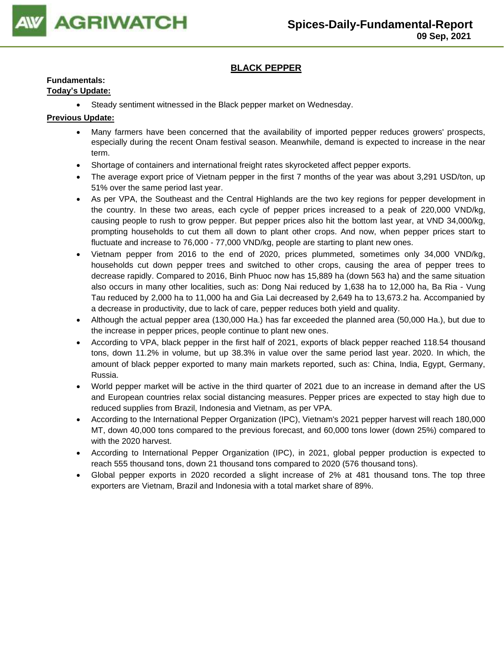

## **BLACK PEPPER**

## **Fundamentals:**

### **Today's Update:**

• Steady sentiment witnessed in the Black pepper market on Wednesday.

- Many farmers have been concerned that the availability of imported pepper reduces growers' prospects, especially during the recent Onam festival season. Meanwhile, demand is expected to increase in the near term.
- Shortage of containers and international freight rates skyrocketed affect pepper exports.
- The average export price of Vietnam pepper in the first 7 months of the year was about 3,291 USD/ton, up 51% over the same period last year.
- As per VPA, the Southeast and the Central Highlands are the two key regions for pepper development in the country. In these two areas, each cycle of pepper prices increased to a peak of 220,000 VND/kg, causing people to rush to grow pepper. But pepper prices also hit the bottom last year, at VND 34,000/kg, prompting households to cut them all down to plant other crops. And now, when pepper prices start to fluctuate and increase to 76,000 - 77,000 VND/kg, people are starting to plant new ones.
- Vietnam pepper from 2016 to the end of 2020, prices plummeted, sometimes only 34,000 VND/kg, households cut down pepper trees and switched to other crops, causing the area of pepper trees to decrease rapidly. Compared to 2016, Binh Phuoc now has 15,889 ha (down 563 ha) and the same situation also occurs in many other localities, such as: Dong Nai reduced by 1,638 ha to 12,000 ha, Ba Ria - Vung Tau reduced by 2,000 ha to 11,000 ha and Gia Lai decreased by 2,649 ha to 13,673.2 ha. Accompanied by a decrease in productivity, due to lack of care, pepper reduces both yield and quality.
- Although the actual pepper area (130,000 Ha.) has far exceeded the planned area (50,000 Ha.), but due to the increase in pepper prices, people continue to plant new ones.
- According to VPA, black pepper in the first half of 2021, exports of black pepper reached 118.54 thousand tons, down 11.2% in volume, but up 38.3% in value over the same period last year. 2020. In which, the amount of black pepper exported to many main markets reported, such as: China, India, Egypt, Germany, Russia.
- World pepper market will be active in the third quarter of 2021 due to an increase in demand after the US and European countries relax social distancing measures. Pepper prices are expected to stay high due to reduced supplies from Brazil, Indonesia and Vietnam, as per VPA.
- According to the International Pepper Organization (IPC), Vietnam's 2021 pepper harvest will reach 180,000 MT, down 40,000 tons compared to the previous forecast, and 60,000 tons lower (down 25%) compared to with the 2020 harvest.
- According to International Pepper Organization (IPC), in 2021, global pepper production is expected to reach 555 thousand tons, down 21 thousand tons compared to 2020 (576 thousand tons).
- Global pepper exports in 2020 recorded a slight increase of 2% at 481 thousand tons. The top three exporters are Vietnam, Brazil and Indonesia with a total market share of 89%.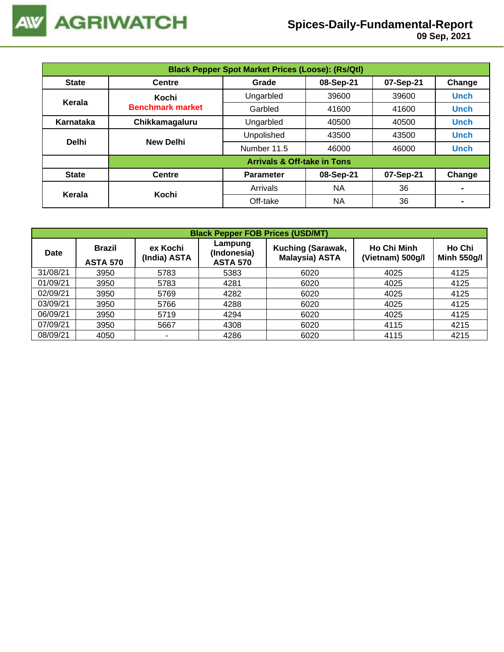

| <b>Black Pepper Spot Market Prices (Loose): (Rs/Qtl)</b> |                         |                                        |           |           |             |  |  |
|----------------------------------------------------------|-------------------------|----------------------------------------|-----------|-----------|-------------|--|--|
| <b>State</b>                                             | <b>Centre</b>           | Grade                                  | 08-Sep-21 | 07-Sep-21 | Change      |  |  |
| Kerala                                                   | Kochi                   | Ungarbled                              | 39600     | 39600     | <b>Unch</b> |  |  |
|                                                          | <b>Benchmark market</b> | Garbled                                | 41600     | 41600     | <b>Unch</b> |  |  |
| Karnataka                                                | Chikkamagaluru          | Ungarbled                              | 40500     | 40500     | <b>Unch</b> |  |  |
| <b>Delhi</b>                                             | <b>New Delhi</b>        | Unpolished                             | 43500     | 43500     | <b>Unch</b> |  |  |
|                                                          |                         | Number 11.5                            | 46000     | 46000     | <b>Unch</b> |  |  |
|                                                          |                         | <b>Arrivals &amp; Off-take in Tons</b> |           |           |             |  |  |
| <b>State</b>                                             | <b>Centre</b>           | <b>Parameter</b>                       | 08-Sep-21 | 07-Sep-21 | Change      |  |  |
| Kerala                                                   |                         | Arrivals                               | NA        | 36        |             |  |  |
|                                                          | Kochi                   | Off-take                               | <b>NA</b> | 36        |             |  |  |

|             | <b>Black Pepper FOB Prices (USD/MT)</b>                      |      |                                           |                                            |                                        |                              |  |  |  |  |
|-------------|--------------------------------------------------------------|------|-------------------------------------------|--------------------------------------------|----------------------------------------|------------------------------|--|--|--|--|
| <b>Date</b> | ex Kochi<br><b>Brazil</b><br>(India) ASTA<br><b>ASTA 570</b> |      | Lampung<br>(Indonesia)<br><b>ASTA 570</b> | Kuching (Sarawak,<br><b>Malaysia) ASTA</b> | <b>Ho Chi Minh</b><br>(Vietnam) 500g/l | Ho Chi<br><b>Minh 550g/l</b> |  |  |  |  |
| 31/08/21    | 3950                                                         | 5783 | 5383                                      | 6020                                       | 4025                                   | 4125                         |  |  |  |  |
| 01/09/21    | 3950                                                         | 5783 | 4281                                      | 6020                                       | 4025                                   | 4125                         |  |  |  |  |
| 02/09/21    | 3950                                                         | 5769 | 4282                                      | 6020                                       | 4025                                   | 4125                         |  |  |  |  |
| 03/09/21    | 3950                                                         | 5766 | 4288                                      | 6020                                       | 4025                                   | 4125                         |  |  |  |  |
| 06/09/21    | 3950                                                         | 5719 | 4294                                      | 6020                                       | 4025                                   | 4125                         |  |  |  |  |
| 07/09/21    | 3950                                                         | 5667 | 4308                                      | 6020                                       | 4115                                   | 4215                         |  |  |  |  |
| 08/09/21    | 4050                                                         |      | 4286                                      | 6020                                       | 4115                                   | 4215                         |  |  |  |  |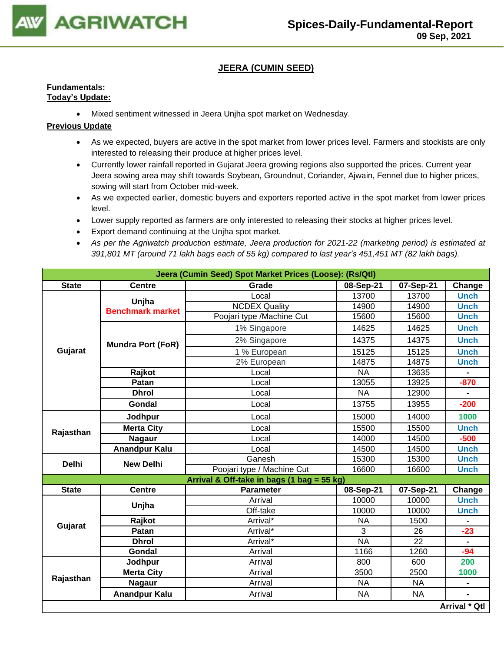

## **JEERA (CUMIN SEED)**

#### **Fundamentals: Today's Update:**

• Mixed sentiment witnessed in Jeera Unjha spot market on Wednesday.

- As we expected, buyers are active in the spot market from lower prices level. Farmers and stockists are only interested to releasing their produce at higher prices level.
- Currently lower rainfall reported in Gujarat Jeera growing regions also supported the prices. Current year Jeera sowing area may shift towards Soybean, Groundnut, Coriander, Ajwain, Fennel due to higher prices, sowing will start from October mid-week.
- As we expected earlier, domestic buyers and exporters reported active in the spot market from lower prices level.
- Lower supply reported as farmers are only interested to releasing their stocks at higher prices level.
- Export demand continuing at the Unjha spot market.
- *As per the Agriwatch production estimate, Jeera production for 2021-22 (marketing period) is estimated at 391,801 MT (around 71 lakh bags each of 55 kg) compared to last year's 451,451 MT (82 lakh bags).*

|              |                                                                                                                                                                                                                                                                                                                                                                                                                                                                                                                                                                                                                                                                                                                                                                                                                                                                                                                                                                                                                                                               | Jeera (Cumin Seed) Spot Market Prices (Loose): (Rs/Qtl) |                 |           |                      |  |
|--------------|---------------------------------------------------------------------------------------------------------------------------------------------------------------------------------------------------------------------------------------------------------------------------------------------------------------------------------------------------------------------------------------------------------------------------------------------------------------------------------------------------------------------------------------------------------------------------------------------------------------------------------------------------------------------------------------------------------------------------------------------------------------------------------------------------------------------------------------------------------------------------------------------------------------------------------------------------------------------------------------------------------------------------------------------------------------|---------------------------------------------------------|-----------------|-----------|----------------------|--|
| <b>State</b> | Grade<br>07-Sep-21<br><b>Centre</b><br>08-Sep-21<br>13700<br>13700<br>Local<br>Unjha<br><b>NCDEX Quality</b><br>14900<br>14900<br><b>Benchmark market</b><br>Poojari type /Machine Cut<br>15600<br>15600<br>1% Singapore<br>14625<br>14625<br>14375<br>14375<br>2% Singapore<br><b>Mundra Port (FoR)</b><br>15125<br>1 % European<br>15125<br>14875<br>14875<br>2% European<br>13635<br>Rajkot<br><b>NA</b><br>Local<br>13055<br>13925<br>Patan<br>Local<br><b>NA</b><br><b>Dhrol</b><br>12900<br>Local<br>Gondal<br>13755<br>13955<br>Local<br>15000<br>14000<br>Jodhpur<br>Local<br><b>Merta City</b><br>15500<br>15500<br>Local<br>14000<br><b>Nagaur</b><br>14500<br>Local<br><b>Anandpur Kalu</b><br>14500<br>14500<br>Local<br>Ganesh<br>15300<br>15300<br><b>New Delhi</b><br>Poojari type / Machine Cut<br>16600<br>16600<br>Arrival & Off-take in bags (1 bag = 55 kg)<br><b>Centre</b><br><b>Parameter</b><br>08-Sep-21<br>07-Sep-21<br>Arrival<br>10000<br>10000<br>Unjha<br>Off-take<br>10000<br>10000<br>Rajkot<br>Arrival*<br><b>NA</b><br>1500 |                                                         | Change          |           |                      |  |
|              |                                                                                                                                                                                                                                                                                                                                                                                                                                                                                                                                                                                                                                                                                                                                                                                                                                                                                                                                                                                                                                                               |                                                         |                 |           | <b>Unch</b>          |  |
|              |                                                                                                                                                                                                                                                                                                                                                                                                                                                                                                                                                                                                                                                                                                                                                                                                                                                                                                                                                                                                                                                               |                                                         |                 |           | <b>Unch</b>          |  |
|              |                                                                                                                                                                                                                                                                                                                                                                                                                                                                                                                                                                                                                                                                                                                                                                                                                                                                                                                                                                                                                                                               |                                                         |                 |           | <b>Unch</b>          |  |
|              |                                                                                                                                                                                                                                                                                                                                                                                                                                                                                                                                                                                                                                                                                                                                                                                                                                                                                                                                                                                                                                                               |                                                         |                 |           | <b>Unch</b>          |  |
|              |                                                                                                                                                                                                                                                                                                                                                                                                                                                                                                                                                                                                                                                                                                                                                                                                                                                                                                                                                                                                                                                               |                                                         |                 |           | <b>Unch</b>          |  |
| Gujarat      |                                                                                                                                                                                                                                                                                                                                                                                                                                                                                                                                                                                                                                                                                                                                                                                                                                                                                                                                                                                                                                                               |                                                         |                 |           | <b>Unch</b>          |  |
|              |                                                                                                                                                                                                                                                                                                                                                                                                                                                                                                                                                                                                                                                                                                                                                                                                                                                                                                                                                                                                                                                               |                                                         |                 |           | <b>Unch</b>          |  |
|              |                                                                                                                                                                                                                                                                                                                                                                                                                                                                                                                                                                                                                                                                                                                                                                                                                                                                                                                                                                                                                                                               |                                                         |                 |           |                      |  |
|              |                                                                                                                                                                                                                                                                                                                                                                                                                                                                                                                                                                                                                                                                                                                                                                                                                                                                                                                                                                                                                                                               |                                                         |                 |           | $-870$               |  |
|              |                                                                                                                                                                                                                                                                                                                                                                                                                                                                                                                                                                                                                                                                                                                                                                                                                                                                                                                                                                                                                                                               |                                                         |                 |           |                      |  |
|              |                                                                                                                                                                                                                                                                                                                                                                                                                                                                                                                                                                                                                                                                                                                                                                                                                                                                                                                                                                                                                                                               |                                                         |                 |           | $-200$               |  |
| Rajasthan    |                                                                                                                                                                                                                                                                                                                                                                                                                                                                                                                                                                                                                                                                                                                                                                                                                                                                                                                                                                                                                                                               |                                                         |                 |           | 1000                 |  |
|              |                                                                                                                                                                                                                                                                                                                                                                                                                                                                                                                                                                                                                                                                                                                                                                                                                                                                                                                                                                                                                                                               |                                                         |                 |           | <b>Unch</b>          |  |
|              |                                                                                                                                                                                                                                                                                                                                                                                                                                                                                                                                                                                                                                                                                                                                                                                                                                                                                                                                                                                                                                                               |                                                         |                 |           | $-500$               |  |
|              |                                                                                                                                                                                                                                                                                                                                                                                                                                                                                                                                                                                                                                                                                                                                                                                                                                                                                                                                                                                                                                                               |                                                         |                 |           | <b>Unch</b>          |  |
| <b>Delhi</b> |                                                                                                                                                                                                                                                                                                                                                                                                                                                                                                                                                                                                                                                                                                                                                                                                                                                                                                                                                                                                                                                               |                                                         |                 |           | <b>Unch</b>          |  |
|              |                                                                                                                                                                                                                                                                                                                                                                                                                                                                                                                                                                                                                                                                                                                                                                                                                                                                                                                                                                                                                                                               |                                                         |                 |           | <b>Unch</b>          |  |
|              |                                                                                                                                                                                                                                                                                                                                                                                                                                                                                                                                                                                                                                                                                                                                                                                                                                                                                                                                                                                                                                                               |                                                         |                 |           |                      |  |
| <b>State</b> |                                                                                                                                                                                                                                                                                                                                                                                                                                                                                                                                                                                                                                                                                                                                                                                                                                                                                                                                                                                                                                                               |                                                         |                 |           | Change               |  |
|              |                                                                                                                                                                                                                                                                                                                                                                                                                                                                                                                                                                                                                                                                                                                                                                                                                                                                                                                                                                                                                                                               |                                                         |                 |           | <b>Unch</b>          |  |
|              |                                                                                                                                                                                                                                                                                                                                                                                                                                                                                                                                                                                                                                                                                                                                                                                                                                                                                                                                                                                                                                                               |                                                         |                 |           | <b>Unch</b>          |  |
| Gujarat      |                                                                                                                                                                                                                                                                                                                                                                                                                                                                                                                                                                                                                                                                                                                                                                                                                                                                                                                                                                                                                                                               |                                                         |                 |           |                      |  |
|              | Patan                                                                                                                                                                                                                                                                                                                                                                                                                                                                                                                                                                                                                                                                                                                                                                                                                                                                                                                                                                                                                                                         | Arrival*                                                | 3               | 26        | $-23$                |  |
|              | <b>Dhrol</b>                                                                                                                                                                                                                                                                                                                                                                                                                                                                                                                                                                                                                                                                                                                                                                                                                                                                                                                                                                                                                                                  | Arrival*                                                | $\overline{NA}$ | 22        |                      |  |
|              | Gondal                                                                                                                                                                                                                                                                                                                                                                                                                                                                                                                                                                                                                                                                                                                                                                                                                                                                                                                                                                                                                                                        | Arrival                                                 | 1166            | 1260      | $-94$                |  |
|              | Jodhpur                                                                                                                                                                                                                                                                                                                                                                                                                                                                                                                                                                                                                                                                                                                                                                                                                                                                                                                                                                                                                                                       | Arrival                                                 | 800             | 600       | 200                  |  |
|              | <b>Merta City</b>                                                                                                                                                                                                                                                                                                                                                                                                                                                                                                                                                                                                                                                                                                                                                                                                                                                                                                                                                                                                                                             | Arrival                                                 | 3500            | 2500      | 1000                 |  |
| Rajasthan    | <b>Nagaur</b>                                                                                                                                                                                                                                                                                                                                                                                                                                                                                                                                                                                                                                                                                                                                                                                                                                                                                                                                                                                                                                                 | Arrival                                                 | <b>NA</b>       | <b>NA</b> |                      |  |
|              | <b>Anandpur Kalu</b>                                                                                                                                                                                                                                                                                                                                                                                                                                                                                                                                                                                                                                                                                                                                                                                                                                                                                                                                                                                                                                          | Arrival                                                 | <b>NA</b>       | <b>NA</b> |                      |  |
|              |                                                                                                                                                                                                                                                                                                                                                                                                                                                                                                                                                                                                                                                                                                                                                                                                                                                                                                                                                                                                                                                               |                                                         |                 |           | <b>Arrival * Qtl</b> |  |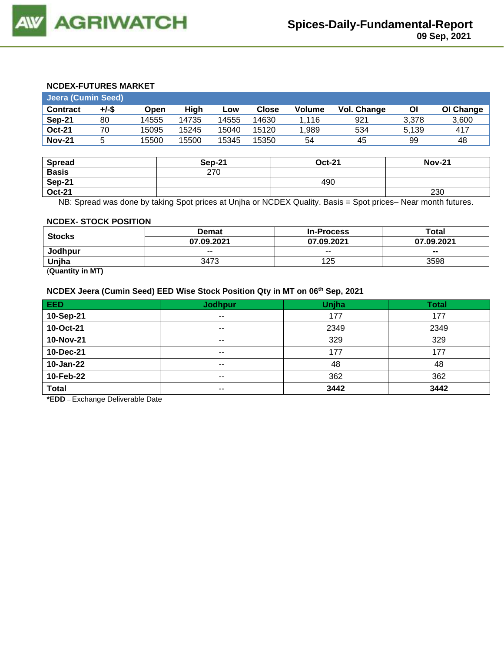## **NCDEX-FUTURES MARKET**

| <b>Jeera (Cumin Seed)</b> |          |       |       |       |              |        |             |       |           |
|---------------------------|----------|-------|-------|-------|--------------|--------|-------------|-------|-----------|
| <b>Contract</b>           | $+/-$ \$ | Open  | Hiah  | LOW   | <b>Close</b> | Volume | Vol. Change | ΟI    | OI Change |
| Sep-21                    | 80       | 14555 | 14735 | 14555 | 14630        | 1.116  | 921         | 3.378 | 3,600     |
| <b>Oct-21</b>             | 70       | 15095 | 15245 | 15040 | 15120        | 1.989  | 534         | 5.139 | 417       |
| <b>Nov-21</b>             |          | 15500 | 15500 | 15345 | 15350        | 54     | 45          | 99    | 48        |

| <b>Spread</b> | Sep-21 | <b>Oct-21</b> | <b>Nov-21</b> |
|---------------|--------|---------------|---------------|
| <b>Basis</b>  | 270    |               |               |
| <b>Sep-21</b> |        | 490           |               |
| <b>Oct-21</b> |        |               | 230           |

NB: Spread was done by taking Spot prices at Unjha or NCDEX Quality. Basis = Spot prices– Near month futures.

#### **NCDEX- STOCK POSITION**

| <b>Stocks</b> | Demat      | <b>In-Process</b> | Total          |  |
|---------------|------------|-------------------|----------------|--|
|               | 07.09.2021 | 07.09.2021        | 07.09.2021     |  |
| Jodhpur       | $- -$      | $- -$             | $\blacksquare$ |  |
| Unjha         | 3473       | 125               | 3598           |  |
| -----         |            |                   |                |  |

(**Quantity in MT)**

## **NCDEX Jeera (Cumin Seed) EED Wise Stock Position Qty in MT on 06th Sep, 2021**

| EED                 | <b>Jodhpur</b> | Unjha | <b>Total</b> |
|---------------------|----------------|-------|--------------|
| 10-Sep-21           | $\sim$ $-$     | 177   | 177          |
| 10-Oct-21           | $- -$          | 2349  | 2349         |
| 10-Nov-21           | $- -$          | 329   | 329          |
| 10-Dec-21           | $\sim$ $\sim$  | 177   | 177          |
| 10-Jan-22           | $\sim$ $\sim$  | 48    | 48           |
| 10-Feb-22           | $\sim$ $\sim$  | 362   | 362          |
| <b>Total</b><br>___ | $- -$          | 3442  | 3442         |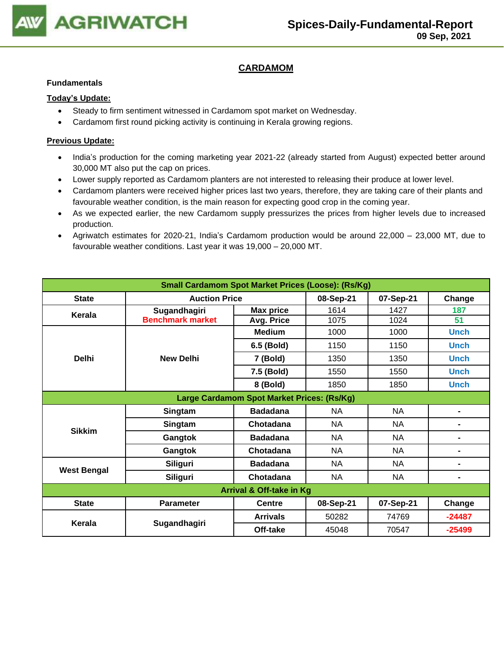

## **CARDAMOM**

#### **Fundamentals**

### **Today's Update:**

- Steady to firm sentiment witnessed in Cardamom spot market on Wednesday.
- Cardamom first round picking activity is continuing in Kerala growing regions.

- India's production for the coming marketing year 2021-22 (already started from August) expected better around 30,000 MT also put the cap on prices.
- Lower supply reported as Cardamom planters are not interested to releasing their produce at lower level.
- Cardamom planters were received higher prices last two years, therefore, they are taking care of their plants and favourable weather condition, is the main reason for expecting good crop in the coming year.
- As we expected earlier, the new Cardamom supply pressurizes the prices from higher levels due to increased production.
- Agriwatch estimates for 2020-21, India's Cardamom production would be around 22,000 23,000 MT, due to favourable weather conditions. Last year it was 19,000 – 20,000 MT.

| <b>Small Cardamom Spot Market Prices (Loose): (Rs/Kg)</b> |                         |                  |           |           |                |  |  |
|-----------------------------------------------------------|-------------------------|------------------|-----------|-----------|----------------|--|--|
| <b>State</b>                                              | <b>Auction Price</b>    |                  | 08-Sep-21 | 07-Sep-21 | Change         |  |  |
| Kerala                                                    | Sugandhagiri            | <b>Max price</b> | 1614      | 1427      | 187            |  |  |
|                                                           | <b>Benchmark market</b> | Avg. Price       | 1075      | 1024      | 51             |  |  |
|                                                           |                         | <b>Medium</b>    | 1000      | 1000      | <b>Unch</b>    |  |  |
|                                                           |                         | 6.5 (Bold)       | 1150      | 1150      | <b>Unch</b>    |  |  |
| <b>Delhi</b>                                              | <b>New Delhi</b>        | 7 (Bold)         | 1350      | 1350      | <b>Unch</b>    |  |  |
|                                                           |                         | 7.5 (Bold)       | 1550      | 1550      | <b>Unch</b>    |  |  |
|                                                           |                         | 8 (Bold)         | 1850      | 1850      | <b>Unch</b>    |  |  |
| Large Cardamom Spot Market Prices: (Rs/Kg)                |                         |                  |           |           |                |  |  |
|                                                           | Singtam                 | <b>Badadana</b>  | <b>NA</b> | <b>NA</b> | ۰              |  |  |
| <b>Sikkim</b>                                             | Singtam                 | Chotadana        | <b>NA</b> | <b>NA</b> | ۰              |  |  |
|                                                           | Gangtok                 | <b>Badadana</b>  | <b>NA</b> | NA        | ۰              |  |  |
|                                                           | Gangtok                 | Chotadana        | <b>NA</b> | <b>NA</b> | $\blacksquare$ |  |  |
| <b>West Bengal</b>                                        | Siliguri                | <b>Badadana</b>  | <b>NA</b> | <b>NA</b> | $\blacksquare$ |  |  |
|                                                           | Siliguri                | Chotadana        | <b>NA</b> | <b>NA</b> | ۰              |  |  |
| <b>Arrival &amp; Off-take in Kg</b>                       |                         |                  |           |           |                |  |  |
| <b>State</b>                                              | <b>Parameter</b>        | <b>Centre</b>    | 08-Sep-21 | 07-Sep-21 | Change         |  |  |
| Kerala                                                    |                         | <b>Arrivals</b>  | 50282     | 74769     | $-24487$       |  |  |
|                                                           | Sugandhagiri            | Off-take         | 45048     | 70547     | $-25499$       |  |  |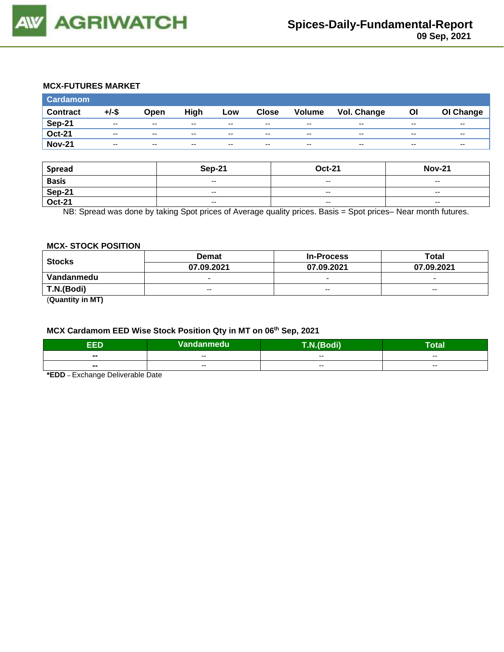

## **MCX-FUTURES MARKET**

| <b>Cardamom</b> |          |                          |       |       |               |                          |             |       |           |
|-----------------|----------|--------------------------|-------|-------|---------------|--------------------------|-------------|-------|-----------|
| <b>Contract</b> | $+/-$ \$ | Open                     | High  | Low   | <b>Close</b>  | Volume                   | Vol. Change | Οl    | OI Change |
| <b>Sep-21</b>   | $- -$    | $\sim$ $\sim$            | $- -$ | $- -$ | $\sim$ $\sim$ | $\overline{\phantom{a}}$ | $- -$       | $- -$ | $- -$     |
| <b>Oct-21</b>   | $- -$    | $-$                      | $- -$ | $- -$ | $- -$         | $\overline{\phantom{a}}$ | $- -$       | $- -$ | $- -$     |
| <b>Nov-21</b>   | $- -$    | $\overline{\phantom{a}}$ | $- -$ | $- -$ | $- -$         | $\overline{\phantom{a}}$ | $- -$       | $- -$ | $- -$     |

| <b>Spread</b> | <b>Sep-21</b>                                  | <b>Oct-21</b>            | <b>Nov-21</b>            |
|---------------|------------------------------------------------|--------------------------|--------------------------|
| <b>Basis</b>  | $\overline{\phantom{a}}$                       | $-$                      | $- -$                    |
| Sep-21        | $- -$                                          | $- -$                    | $- -$                    |
| <b>Oct-21</b> | $\hspace{0.1mm}-\hspace{0.1mm}-\hspace{0.1mm}$ | $\overline{\phantom{a}}$ | $\overline{\phantom{a}}$ |

NB: Spread was done by taking Spot prices of Average quality prices. Basis = Spot prices– Near month futures.

## **MCX- STOCK POSITION**

| <b>Stocks</b> | <b>Demat</b>             | <b>In-Process</b>        | <b>Total</b>             |  |
|---------------|--------------------------|--------------------------|--------------------------|--|
|               | 07.09.2021               | 07.09.2021               | 07.09.2021               |  |
| Vandanmedu    | $\overline{\phantom{0}}$ | $\overline{\phantom{0}}$ | $\overline{\phantom{0}}$ |  |
| T.N.(Bodi)    | $- -$                    | $- -$                    | $- -$                    |  |
| $\sim$        |                          |                          |                          |  |

(**Quantity in MT)**

#### **MCX Cardamom EED Wise Stock Position Qty in MT on 06th Sep, 2021**

| -6<br>- 2                | Vandanmedu | odi)<br>$\sqrt{2}$ | otal                     |
|--------------------------|------------|--------------------|--------------------------|
| $\blacksquare$           | $- -$      | $- -$              | $- -$                    |
| $\overline{\phantom{a}}$ | $- -$      | $- -$              | $\overline{\phantom{a}}$ |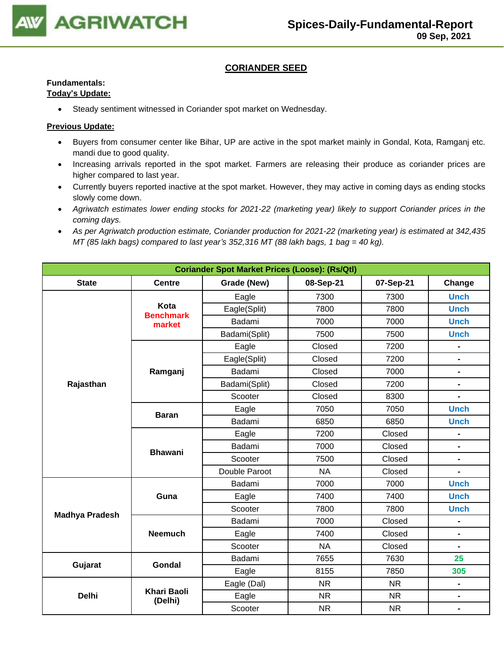

## **CORIANDER SEED**

# **Fundamentals:**

## **Today's Update:**

• Steady sentiment witnessed in Coriander spot market on Wednesday.

- Buyers from consumer center like Bihar, UP are active in the spot market mainly in Gondal, Kota, Ramganj etc. mandi due to good quality.
- Increasing arrivals reported in the spot market. Farmers are releasing their produce as coriander prices are higher compared to last year.
- Currently buyers reported inactive at the spot market. However, they may active in coming days as ending stocks slowly come down.
- *Agriwatch estimates lower ending stocks for 2021-22 (marketing year) likely to support Coriander prices in the coming days.*
- *As per Agriwatch production estimate, Coriander production for 2021-22 (marketing year) is estimated at 342,435 MT (85 lakh bags) compared to last year's 352,316 MT (88 lakh bags, 1 bag = 40 kg).*

| <b>Coriander Spot Market Prices (Loose): (Rs/Qtl)</b> |                               |                |           |           |                              |  |  |
|-------------------------------------------------------|-------------------------------|----------------|-----------|-----------|------------------------------|--|--|
| <b>State</b>                                          | <b>Centre</b>                 | Grade (New)    | 08-Sep-21 | 07-Sep-21 | Change                       |  |  |
|                                                       |                               | Eagle          | 7300      | 7300      | <b>Unch</b>                  |  |  |
|                                                       | Kota<br><b>Benchmark</b>      | Eagle(Split)   | 7800      | 7800      | <b>Unch</b>                  |  |  |
|                                                       | market                        | Badami         | 7000      | 7000      | <b>Unch</b>                  |  |  |
|                                                       |                               | Badami(Split)  | 7500      | 7500      | <b>Unch</b>                  |  |  |
|                                                       |                               | Eagle          | Closed    | 7200      |                              |  |  |
|                                                       |                               | Eagle(Split)   | Closed    | 7200      | $\blacksquare$               |  |  |
|                                                       | Ramganj                       | Badami         | Closed    | 7000      | $\blacksquare$               |  |  |
| Rajasthan                                             |                               | Badami(Split)  | Closed    | 7200      | $\blacksquare$               |  |  |
|                                                       |                               | Scooter        | Closed    | 8300      | $\blacksquare$               |  |  |
|                                                       | <b>Baran</b>                  | Eagle          | 7050      | 7050      | <b>Unch</b>                  |  |  |
|                                                       |                               | Badami         | 6850      | 6850      | <b>Unch</b>                  |  |  |
|                                                       |                               | Eagle          | 7200      | Closed    | $\blacksquare$               |  |  |
|                                                       | <b>Bhawani</b>                | 7000<br>Badami |           | Closed    | $\overline{a}$               |  |  |
|                                                       |                               | Scooter        | 7500      | Closed    | $\blacksquare$               |  |  |
|                                                       |                               | Double Paroot  | <b>NA</b> | Closed    | $\blacksquare$               |  |  |
|                                                       |                               | Badami         | 7000      | 7000      | <b>Unch</b>                  |  |  |
|                                                       | Guna                          | Eagle          | 7400      | 7400      | <b>Unch</b>                  |  |  |
| <b>Madhya Pradesh</b>                                 |                               | Scooter        | 7800      | 7800      | <b>Unch</b>                  |  |  |
|                                                       |                               | Badami         | 7000      | Closed    | $\blacksquare$               |  |  |
|                                                       | <b>Neemuch</b>                | Eagle          | 7400      | Closed    | $\blacksquare$               |  |  |
|                                                       |                               | Scooter        | <b>NA</b> | Closed    | $\qquad \qquad \blacksquare$ |  |  |
| Gujarat                                               | <b>Gondal</b>                 | Badami         | 7655      | 7630      | 25                           |  |  |
|                                                       |                               | Eagle          | 8155      | 7850      | 305                          |  |  |
|                                                       |                               | Eagle (Dal)    | <b>NR</b> | <b>NR</b> | $\blacksquare$               |  |  |
| <b>Delhi</b>                                          | <b>Khari Baoli</b><br>(Delhi) | Eagle          | <b>NR</b> | <b>NR</b> | $\blacksquare$               |  |  |
|                                                       |                               | Scooter        | <b>NR</b> | <b>NR</b> | $\blacksquare$               |  |  |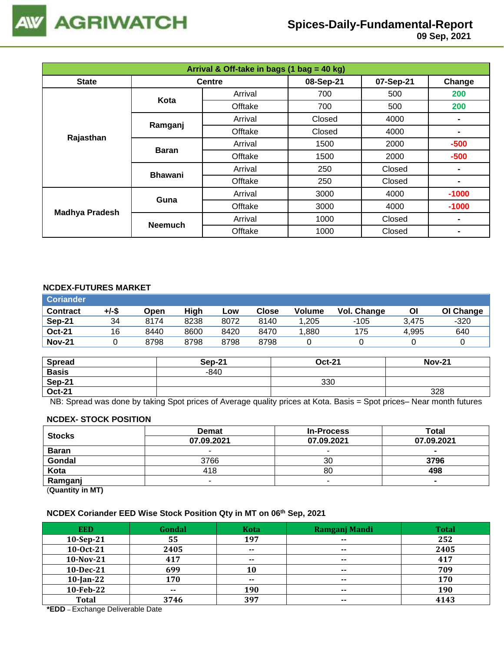

| Arrival & Off-take in bags (1 bag = 40 kg) |                |               |           |           |                |  |  |
|--------------------------------------------|----------------|---------------|-----------|-----------|----------------|--|--|
| <b>State</b>                               |                | <b>Centre</b> | 08-Sep-21 | 07-Sep-21 | Change         |  |  |
|                                            | Kota           | Arrival       | 700       | 500       | 200            |  |  |
|                                            |                | Offtake       | 700       | 500       | 200            |  |  |
|                                            | Ramganj        | Arrival       | Closed    | 4000      |                |  |  |
|                                            |                | Offtake       | Closed    | 4000      | $\blacksquare$ |  |  |
| Rajasthan                                  | <b>Baran</b>   | Arrival       | 1500      | 2000      | $-500$         |  |  |
|                                            |                | Offtake       | 1500      | 2000      | $-500$         |  |  |
|                                            | <b>Bhawani</b> | Arrival       | 250       | Closed    | $\blacksquare$ |  |  |
|                                            |                | Offtake       | 250       | Closed    | $\blacksquare$ |  |  |
| <b>Madhya Pradesh</b>                      | Guna           | Arrival       | 3000      | 4000      | $-1000$        |  |  |
|                                            |                | Offtake       | 3000      | 4000      | $-1000$        |  |  |
|                                            |                | Arrival       | 1000      | Closed    | $\blacksquare$ |  |  |
|                                            | <b>Neemuch</b> | Offtake       | 1000      | Closed    |                |  |  |

### **NCDEX-FUTURES MARKET**

| <b>Coriander</b> |       |      |      |      |       |               |             |       |           |
|------------------|-------|------|------|------|-------|---------------|-------------|-------|-----------|
| <b>Contract</b>  | +/-\$ | Open | High | Low  | Close | <b>Volume</b> | Vol. Change | Οl    | OI Change |
| Sep-21           | 34    | 8174 | 8238 | 8072 | 8140  | .205          | $-105$      | 3.475 | $-320$    |
| <b>Oct-21</b>    | 16    | 8440 | 8600 | 8420 | 8470  | .880          | 175         | 4.995 | 640       |
| <b>Nov-21</b>    |       | 8798 | 8798 | 8798 | 8798  |               |             |       |           |

| <b>Spread</b> | <b>Sep-21</b> | <b>Oct-21</b> | <b>Nov-21</b> |
|---------------|---------------|---------------|---------------|
| <b>Basis</b>  | $-840$        |               |               |
| Sep-21        |               | 330           |               |
| <b>Oct-21</b> |               |               | 328           |

NB: Spread was done by taking Spot prices of Average quality prices at Kota. Basis = Spot prices– Near month futures

#### **NCDEX- STOCK POSITION**

| <b>Stocks</b>           | <b>Demat</b> | <b>In-Process</b> | Total      |
|-------------------------|--------------|-------------------|------------|
|                         | 07.09.2021   | 07.09.2021        | 07.09.2021 |
| <b>Baran</b>            | -            |                   | $\sim$     |
| Gondal                  | 3766         | 30                | 3796       |
| Kota                    | 418          | 80                | 498        |
| Ramganj                 | -            |                   |            |
| (0.1222, 0.0122, 0.000) |              |                   |            |

(**Quantity in MT)**

## **NCDEX Coriander EED Wise Stock Position Qty in MT on 06th Sep, 2021**

| <b>EED</b>   | Gondal | Kota          | Ramganj Mandi            | <b>Total</b> |
|--------------|--------|---------------|--------------------------|--------------|
| 10-Sep-21    | 55     | 197           | $\overline{\phantom{a}}$ | 252          |
| 10-Oct-21    | 2405   | $- -$         | $- -$                    | 2405         |
| 10-Nov-21    | 417    | $- -$         | $- -$                    | 417          |
| 10-Dec-21    | 699    | 10            | $- -$                    | 709          |
| $10$ -Jan-22 | 170    | $\sim$ $\sim$ | $- -$                    | 170          |
| 10-Feb-22    | $- -$  | 190           | $- -$                    | 190          |
| <b>Total</b> | 3746   | 397           | $\overline{\phantom{a}}$ | 4143         |